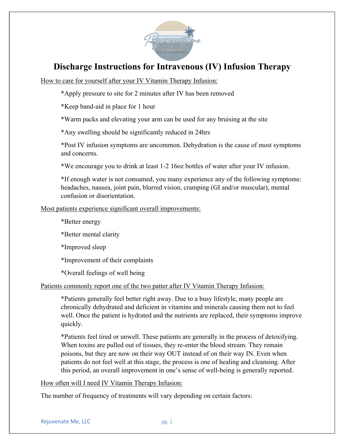

## **Discharge Instructions for Intravenous (IV) Infusion Therapy**

How to care for yourself after your IV Vitamin Therapy Infusion:

\*Apply pressure to site for 2 minutes after IV has been removed

\*Keep band-aid in place for 1 hour

\*Warm packs and elevating your arm can be used for any bruising at the site

\*Any swelling should be significantly reduced in 24hrs

\*Post IV infusion symptoms are uncommon. Dehydration is the cause of most symptoms and concerns.

\*We encourage you to drink at least 1-2 16oz bottles of water after your IV infusion.

\*If enough water is not consumed, you many experience any of the following symptoms: headaches, nausea, joint pain, blurred vision, cramping (GI and/or muscular), mental confusion or disorientation.

Most patients experience significant overall improvements:

\*Better energy

\*Better mental clarity

\*Improved sleep

\*Improvement of their complaints

\*Overall feelings of well being

Patients commonly report one of the two patter after IV Vitamin Therapy Infusion:

\*Patients generally feel better right away. Due to a busy lifestyle, many people are chronically dehydrated and deficient in vitamins and minerals causing them not to feel well. Once the patient is hydrated and the nutrients are replaced, their symptoms improve quickly.

\*Patients feel tired or unwell. These patients are generally in the process of detoxifying. When toxins are pulled out of tissues, they re-enter the blood stream. They remain poisons, but they are now on their way OUT instead of on their way IN. Even when patients do not feel well at this stage, the process is one of healing and cleansing. After this period, an overall improvement in one's sense of well-being is generally reported.

How often will I need IV Vitamin Therapy Infusion:

The number of frequency of treatments will vary depending on certain factors: